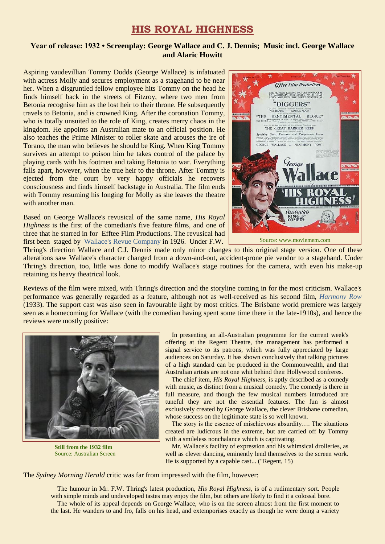## **HIS ROYAL HIGHNESS**

## **Year of release: 1932 • Screenplay: George Wallace and C. J. Dennis; Music incl. George Wallace and Alaric Howitt**

Aspiring vaudevillian Tommy Dodds (George Wallace) is infatuated with actress Molly and secures employment as a stagehand to be near her. When a disgruntled fellow employee hits Tommy on the head he finds himself back in the streets of Fitzroy, where two men from Betonia recognise him as the lost heir to their throne. He subsequently travels to Betonia, and is crowned King. After the coronation Tommy, who is totally unsuited to the role of King, creates merry chaos in the kingdom. He appoints an Australian mate to an official position. He also teaches the Prime Minister to roller skate and arouses the ire of Torano, the man who believes he should be King. When King Tommy survives an attempt to poison him he takes control of the palace by playing cards with his footmen and taking Betonia to war. Everything falls apart, however, when the true heir to the throne. After Tommy is ejected from the court by very happy officials he recovers consciousness and finds himself backstage in Australia. The film ends with Tommy resuming his longing for Molly as she leaves the theatre with another man.

Based on George Wallace's revusical of the same name, *His Royal Highness* is the first of the comedian's five feature films, and one of three that he starred in for Efftee Film Productions. The revusical had first been staged by [Wallace's Revue Company](https://ozvta.com/troupes-g-l/) in 1926. Under F.W.



Thring's direction Wallace and C.J. Dennis made only minor changes to this original stage version. One of these alterations saw Wallace's character changed from a down-and-out, accident-prone pie vendor to a stagehand. Under Thring's direction, too, little was done to modify Wallace's stage routines for the camera, with even his make-up retaining its heavy theatrical look.

Reviews of the film were mixed, with Thring's direction and the storyline coming in for the most criticism. Wallace's performance was generally regarded as a feature, although not as well-received as his second film, *[Harmony Row](https://ozvta.com/film-vaudeville/)* (1933). The support cast was also seen in favourable light by most critics. The Brisbane world premiere was largely seen as a homecoming for Wallace (with the comedian having spent some time there in the late-1910s), and hence the reviews were mostly positive:



**Suite from the 1932 film**  $S<sub>0</sub>$  Source:  $A<sub>0</sub>$  Screen **Still from the 1932 film**

 In presenting an all-Australian programme for the current week's offering at the Regent Theatre, the management has performed a signal service to its patrons, which was fully appreciated by large audiences on Saturday. It has shown conclusively that talking pictures of a high standard can be produced in the Commonwealth, and that Australian artists are not one whit behind their Hollywood confreres.

 The chief item, *His Royal Highness*, is aptly described as a comedy with music, as distinct from a musical comedy. The comedy is there in full measure, and though the few musical numbers introduced are tuneful they are not the essential features. The fun is almost exclusively created by George Wallace, the clever Brisbane comedian, whose success on the legitimate state is so well known.

 The story is the essence of mischievous absurdity…. The situations created are ludicrous in the extreme, but are carried off by Tommy with a smileless nonchalance which is captivating.

 Mr. Wallace's facility of expression and his whimsical drolleries, as well as clever dancing, eminently lend themselves to the screen work. He is supported by a capable cast... ("Regent, 15)

The *Sydney Morning Herald* critic was far from impressed with the film, however:

 The humour in Mr. F.W. Thring's latest production, *His Royal Highness*, is of a rudimentary sort. People with simple minds and undeveloped tastes may enjoy the film, but others are likely to find it a colossal bore. The whole of its appeal depends on George Wallace, who is on the screen almost from the first moment to the last. He wanders to and fro, falls on his head, and extemporises exactly as though he were doing a variety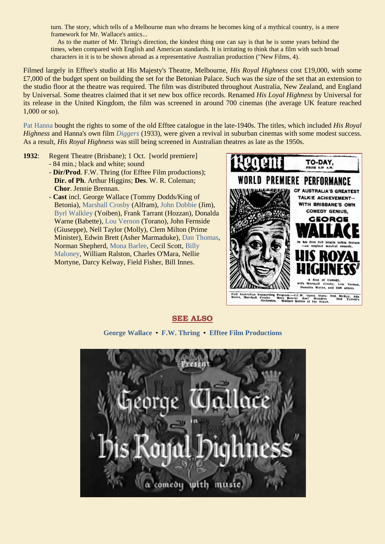turn. The story, which tells of a Melbourne man who dreams he becomes king of a mythical country, is a mere framework for Mr. Wallace's antics...

 As to the matter of Mr. Thring's direction, the kindest thing one can say is that he is some years behind the times, when compared with English and American standards. It is irritating to think that a film with such broad characters in it is to be shown abroad as a representative Australian production ("New Films, 4).

Filmed largely in Efftee's studio at His Majesty's Theatre, Melbourne, *His Royal Highness* cost £19,000, with some £7,000 of the budget spent on building the set for the Betonian Palace. Such was the size of the set that an extension to the studio floor at the theatre was required. The film was distributed throughout Australia, New Zealand, and England by Universal. Some theatres claimed that it set new box office records. Renamed *His Loyal Highness* by Universal for its release in the United Kingdom, the film was screened in around 700 cinemas (the average UK feature reached 1,000 or so).

[Pat Hanna](https://ozvta.com/entrepreneurs-g-l/) bought the rights to some of the old Efftee catalogue in the late-1940s. The titles, which included *His Royal Highness* and Hanna's own film *[Diggers](https://ozvta.com/film-vaudeville/)* (1933), were given a revival in suburban cinemas with some modest success. As a result, *His Royal Highness* was still being screened in Australian theatres as late as the 1950s.

- **1932**: Regent Theatre (Brisbane); 1 Oct. [world premiere] - 84 min.; black and white; sound
	- **Dir/Prod**. F.W. Thring (for Efftee Film productions); **Dir. of Ph**. Arthur Higgins; **Des**. W. R. Coleman; **Chor**. Jennie Brennan.
	- **Cast** incl. George Wallace (Tommy Dodds/King of Betonia), [Marshall Crosby](https://ozvta.com/practitioners-c/) (Alfram), [John Dobbie](https://ozvta.com/practitioners-d/) (Jim), [Byrl Walkley](https://ozvta.com/practitioners-w/) (Yoiben), Frank Tarrant (Hozzan), Donalda Warne (Babette), [Lou Vernon](https://ozvta.com/practitioners-u-v/) (Torano), John Fernside (Giuseppe), Nell Taylor (Molly), Clem Milton (Prime Minister), Edwin Brett (Asher Marmaduke), [Dan Thomas,](https://ozvta.com/practitioners-t/) Norman Shepherd, [Mona Barlee,](http://ozvta.com/practitioners-other-a-l/) Cecil Scott, [Billy](https://ozvta.com/practitioners-m/)   [Maloney,](https://ozvta.com/practitioners-m/) William Ralston, Charles O'Mara, Nellie Mortyne, Darcy Kelway, Field Fisher, Bill Innes.



**SEE ALSO**

**[George Wallace](https://ozvta.com/practitioners-w/)** • **[F.W. Thring](https://ozvta.com/entrepreneurs-s-z/)** • **[Efftee Film Productions](https://ozvta.com/organisations-a-l/)**